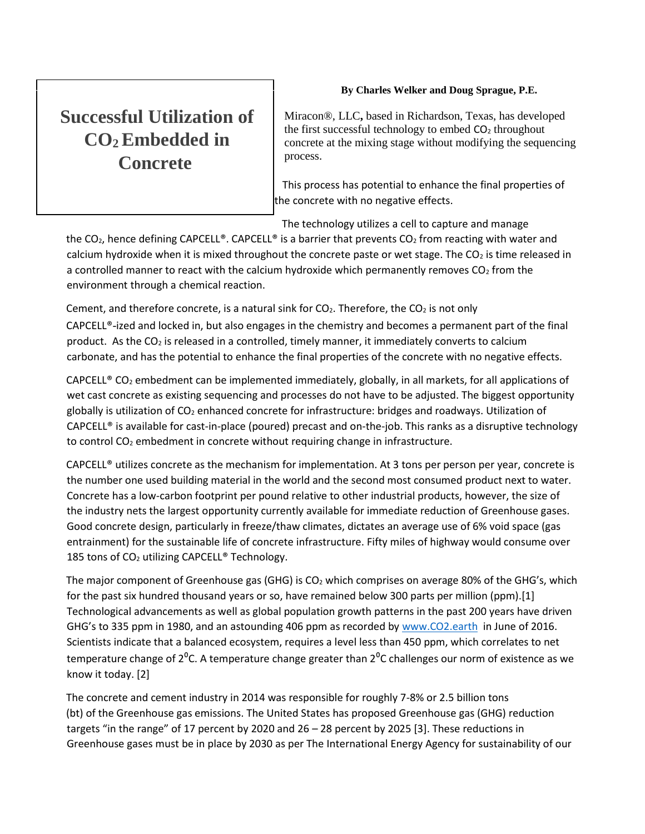# **Successful Utilization of CO2 Embedded in Concrete**

# **By Charles Welker and Doug Sprague, P.E.**

Miracon®, LLC**,** based in Richardson, Texas, has developed the first successful technology to embed  $CO<sub>2</sub>$  throughout concrete at the mixing stage without modifying the sequencing process.

 This process has potential to enhance the final properties of the concrete with no negative effects.

The technology utilizes a cell to capture and manage

the CO<sub>2</sub>, hence defining CAPCELL®. CAPCELL® is a barrier that prevents CO<sub>2</sub> from reacting with water and calcium hydroxide when it is mixed throughout the concrete paste or wet stage. The  $CO<sub>2</sub>$  is time released in a controlled manner to react with the calcium hydroxide which permanently removes  $CO<sub>2</sub>$  from the environment through a chemical reaction.

Cement, and therefore concrete, is a natural sink for  $CO<sub>2</sub>$ . Therefore, the  $CO<sub>2</sub>$  is not only CAPCELL®-ized and locked in, but also engages in the chemistry and becomes a permanent part of the final product. As the  $CO<sub>2</sub>$  is released in a controlled, timely manner, it immediately converts to calcium carbonate, and has the potential to enhance the final properties of the concrete with no negative effects.

CAPCELL<sup>®</sup> CO<sub>2</sub> embedment can be implemented immediately, globally, in all markets, for all applications of wet cast concrete as existing sequencing and processes do not have to be adjusted. The biggest opportunity globally is utilization of  $CO<sub>2</sub>$  enhanced concrete for infrastructure: bridges and roadways. Utilization of CAPCELL® is available for cast-in-place (poured) precast and on-the-job. This ranks as a disruptive technology to control  $CO<sub>2</sub>$  embedment in concrete without requiring change in infrastructure.

CAPCELL® utilizes concrete as the mechanism for implementation. At 3 tons per person per year, concrete is the number one used building material in the world and the second most consumed product next to water. Concrete has a low-carbon footprint per pound relative to other industrial products, however, the size of the industry nets the largest opportunity currently available for immediate reduction of Greenhouse gases. Good concrete design, particularly in freeze/thaw climates, dictates an average use of 6% void space (gas entrainment) for the sustainable life of concrete infrastructure. Fifty miles of highway would consume over 185 tons of CO<sub>2</sub> utilizing CAPCELL® Technology.

The major component of Greenhouse gas (GHG) is  $CO<sub>2</sub>$  which comprises on average 80% of the GHG's, which for the past six hundred thousand years or so, have remained below 300 parts per million (ppm).[1] Technological advancements as well as global population growth patterns in the past 200 years have driven GHG's to 335 ppm in 1980, and an astounding 406 ppm as recorded by [www.CO2.earth](http://www.co2.earth/) in June of 2016. Scientists indicate that a balanced ecosystem, requires a level less than 450 ppm, which correlates to net temperature change of  $2^{0}$ C. A temperature change greater than  $2^{0}$ C challenges our norm of existence as we know it today. [2]

The concrete and cement industry in 2014 was responsible for roughly 7-8% or 2.5 billion tons (bt) of the Greenhouse gas emissions. The United States has proposed Greenhouse gas (GHG) reduction targets "in the range" of 17 percent by 2020 and 26 – 28 percent by 2025 [3]. These reductions in Greenhouse gases must be in place by 2030 as per The International Energy Agency for sustainability of our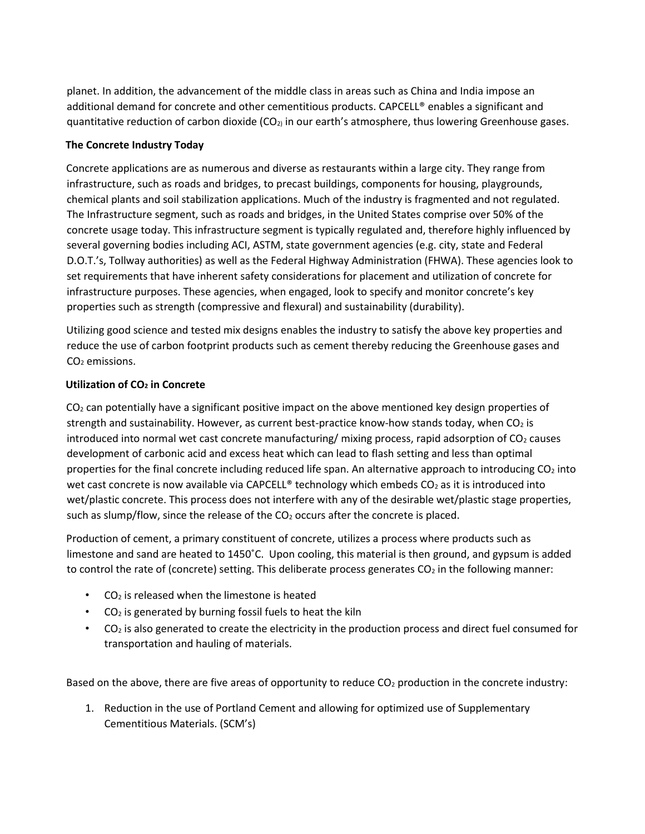planet. In addition, the advancement of the middle class in areas such as China and India impose an additional demand for concrete and other cementitious products. CAPCELL® enables a significant and quantitative reduction of carbon dioxide  $(CO<sub>2</sub>)$  in our earth's atmosphere, thus lowering Greenhouse gases.

# **The Concrete Industry Today**

Concrete applications are as numerous and diverse as restaurants within a large city. They range from infrastructure, such as roads and bridges, to precast buildings, components for housing, playgrounds, chemical plants and soil stabilization applications. Much of the industry is fragmented and not regulated. The Infrastructure segment, such as roads and bridges, in the United States comprise over 50% of the concrete usage today. This infrastructure segment is typically regulated and, therefore highly influenced by several governing bodies including ACI, ASTM, state government agencies (e.g. city, state and Federal D.O.T.'s, Tollway authorities) as well as the Federal Highway Administration (FHWA). These agencies look to set requirements that have inherent safety considerations for placement and utilization of concrete for infrastructure purposes. These agencies, when engaged, look to specify and monitor concrete's key properties such as strength (compressive and flexural) and sustainability (durability).

Utilizing good science and tested mix designs enables the industry to satisfy the above key properties and reduce the use of carbon footprint products such as cement thereby reducing the Greenhouse gases and CO<sub>2</sub> emissions.

# **Utilization of CO<sup>2</sup> in Concrete**

 $CO<sub>2</sub>$  can potentially have a significant positive impact on the above mentioned key design properties of strength and sustainability. However, as current best-practice know-how stands today, when  $CO<sub>2</sub>$  is introduced into normal wet cast concrete manufacturing/ mixing process, rapid adsorption of  $CO<sub>2</sub>$  causes development of carbonic acid and excess heat which can lead to flash setting and less than optimal properties for the final concrete including reduced life span. An alternative approach to introducing CO<sub>2</sub> into wet cast concrete is now available via CAPCELL® technology which embeds  $CO<sub>2</sub>$  as it is introduced into wet/plastic concrete. This process does not interfere with any of the desirable wet/plastic stage properties, such as slump/flow, since the release of the  $CO<sub>2</sub>$  occurs after the concrete is placed.

Production of cement, a primary constituent of concrete, utilizes a process where products such as limestone and sand are heated to 1450˚C. Upon cooling, this material is then ground, and gypsum is added to control the rate of (concrete) setting. This deliberate process generates  $CO<sub>2</sub>$  in the following manner:

- $\cdot$  CO<sub>2</sub> is released when the limestone is heated
- $\cdot$  CO<sub>2</sub> is generated by burning fossil fuels to heat the kiln
- $CO<sub>2</sub>$  is also generated to create the electricity in the production process and direct fuel consumed for transportation and hauling of materials.

Based on the above, there are five areas of opportunity to reduce CO<sub>2</sub> production in the concrete industry:

1. Reduction in the use of Portland Cement and allowing for optimized use of Supplementary Cementitious Materials. (SCM's)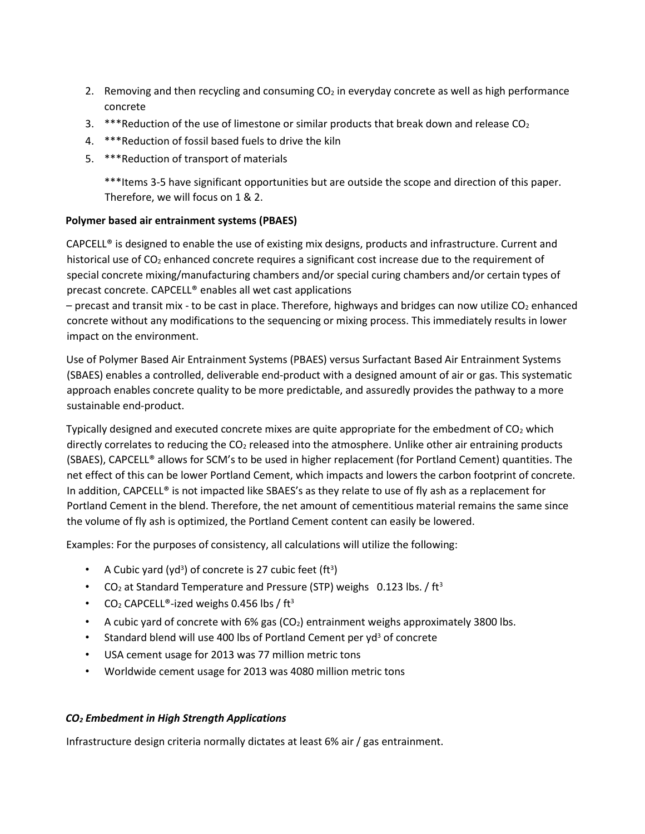- 2. Removing and then recycling and consuming  $CO<sub>2</sub>$  in everyday concrete as well as high performance concrete
- 3. \*\*\*Reduction of the use of limestone or similar products that break down and release  $CO<sub>2</sub>$
- 4. \*\*\*Reduction of fossil based fuels to drive the kiln
- 5. \*\*\*Reduction of transport of materials

\*\*\*Items 3-5 have significant opportunities but are outside the scope and direction of this paper. Therefore, we will focus on 1 & 2.

# **Polymer based air entrainment systems (PBAES)**

CAPCELL® is designed to enable the use of existing mix designs, products and infrastructure. Current and historical use of  $CO<sub>2</sub>$  enhanced concrete requires a significant cost increase due to the requirement of special concrete mixing/manufacturing chambers and/or special curing chambers and/or certain types of precast concrete. CAPCELL® enables all wet cast applications

 $-$  precast and transit mix - to be cast in place. Therefore, highways and bridges can now utilize CO<sub>2</sub> enhanced concrete without any modifications to the sequencing or mixing process. This immediately results in lower impact on the environment.

Use of Polymer Based Air Entrainment Systems (PBAES) versus Surfactant Based Air Entrainment Systems (SBAES) enables a controlled, deliverable end-product with a designed amount of air or gas. This systematic approach enables concrete quality to be more predictable, and assuredly provides the pathway to a more sustainable end-product.

Typically designed and executed concrete mixes are quite appropriate for the embedment of  $CO<sub>2</sub>$  which directly correlates to reducing the  $CO<sub>2</sub>$  released into the atmosphere. Unlike other air entraining products (SBAES), CAPCELL® allows for SCM's to be used in higher replacement (for Portland Cement) quantities. The net effect of this can be lower Portland Cement, which impacts and lowers the carbon footprint of concrete. In addition, CAPCELL® is not impacted like SBAES's as they relate to use of fly ash as a replacement for Portland Cement in the blend. Therefore, the net amount of cementitious material remains the same since the volume of fly ash is optimized, the Portland Cement content can easily be lowered.

Examples: For the purposes of consistency, all calculations will utilize the following:

- A Cubic yard (yd<sup>3</sup>) of concrete is 27 cubic feet (ft<sup>3</sup>)
- CO<sub>2</sub> at Standard Temperature and Pressure (STP) weighs 0.123 lbs. / ft<sup>3</sup>
- $CO<sub>2</sub>$  CAPCELL®-ized weighs 0.456 lbs / ft<sup>3</sup>
- A cubic yard of concrete with  $6\%$  gas (CO<sub>2</sub>) entrainment weighs approximately 3800 lbs.
- Standard blend will use 400 lbs of Portland Cement per yd<sup>3</sup> of concrete
- USA cement usage for 2013 was 77 million metric tons
- Worldwide cement usage for 2013 was 4080 million metric tons

# *CO<sup>2</sup> Embedment in High Strength Applications*

Infrastructure design criteria normally dictates at least 6% air / gas entrainment.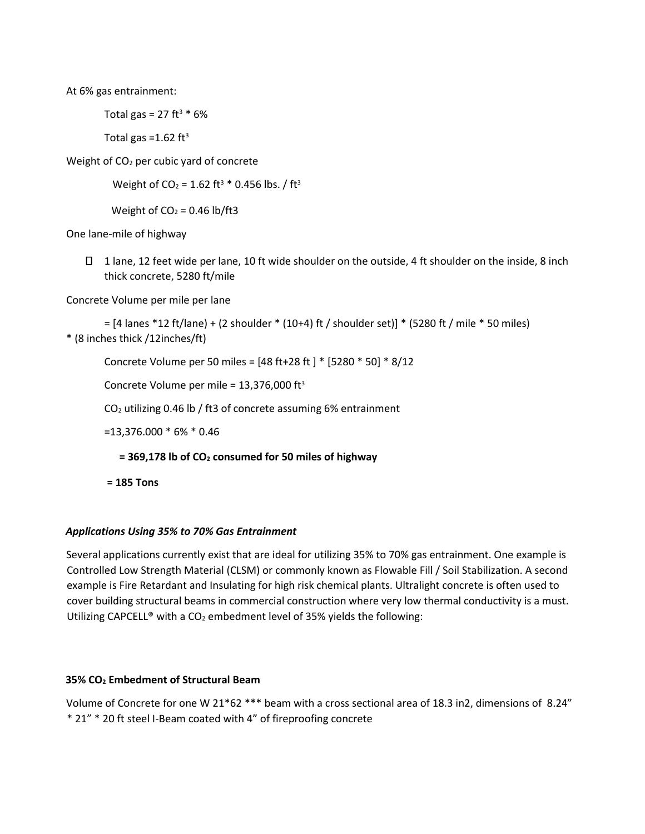At 6% gas entrainment:

Total gas = 27 ft<sup>3</sup>  $*$  6%

Total gas =  $1.62 \text{ ft}^3$ 

Weight of CO<sup>2</sup> per cubic yard of concrete

```
Weight of CO_2 = 1.62 ft<sup>3</sup> * 0.456 lbs. / ft<sup>3</sup>
```
Weight of  $CO<sub>2</sub> = 0.46$  lb/ft3

One lane-mile of highway

 $\Box$  1 lane, 12 feet wide per lane, 10 ft wide shoulder on the outside, 4 ft shoulder on the inside, 8 inch thick concrete, 5280 ft/mile

Concrete Volume per mile per lane

= [4 lanes \*12 ft/lane) + (2 shoulder \* (10+4) ft / shoulder set)] \* (5280 ft / mile \* 50 miles) \* (8 inches thick /12inches/ft)

Concrete Volume per 50 miles = [48 ft+28 ft ] \* [5280 \* 50] \* 8/12

Concrete Volume per mile =  $13,376,000$  ft<sup>3</sup>

CO<sup>2</sup> utilizing 0.46 lb / ft3 of concrete assuming 6% entrainment

=13,376.000 \* 6% \* 0.46

**= 369,178 lb of CO<sup>2</sup> consumed for 50 miles of highway** 

**= 185 Tons** 

# *Applications Using 35% to 70% Gas Entrainment*

Several applications currently exist that are ideal for utilizing 35% to 70% gas entrainment. One example is Controlled Low Strength Material (CLSM) or commonly known as Flowable Fill / Soil Stabilization. A second example is Fire Retardant and Insulating for high risk chemical plants. Ultralight concrete is often used to cover building structural beams in commercial construction where very low thermal conductivity is a must. Utilizing CAPCELL® with a  $CO<sub>2</sub>$  embedment level of 35% yields the following:

# **35% CO<sup>2</sup> Embedment of Structural Beam**

Volume of Concrete for one W 21\*62 \*\*\* beam with a cross sectional area of 18.3 in2, dimensions of 8.24" \* 21" \* 20 ft steel I-Beam coated with 4" of fireproofing concrete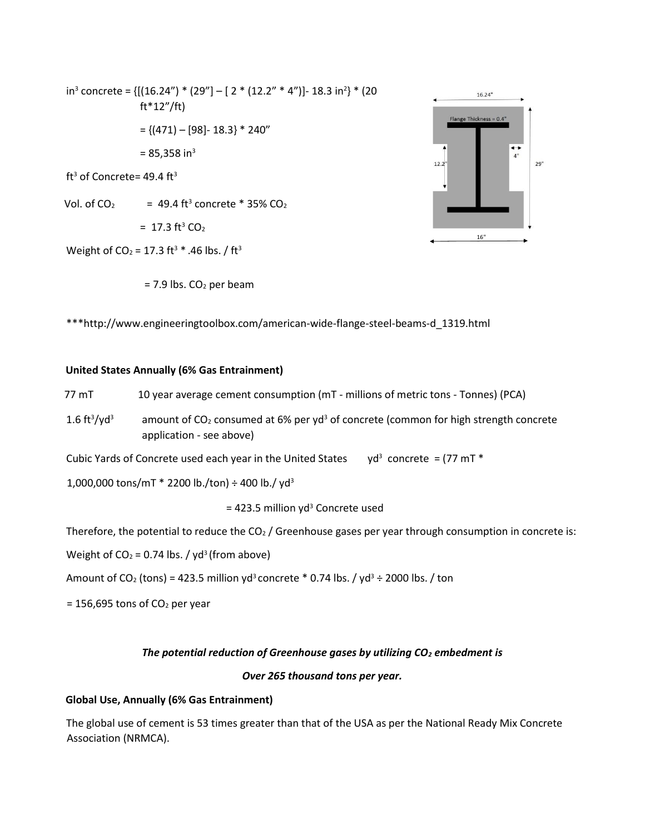in<sup>3</sup> concrete = {[(16.24") \* (29"] – [ 2 \* (12.2" \* 4")]- 18.3 in<sup>2</sup>} \* (20 ft\*12"/ft)  $= \{(471) - [98] - 18.3\} * 240"$  $= 85.358$  in<sup>3</sup> ft<sup>3</sup> of Concrete=  $49.4$  ft<sup>3</sup> Vol. of  $CO<sub>2</sub>$  = 49.4 ft<sup>3</sup> concrete \* 35%  $CO<sub>2</sub>$  $= 17.3$  ft<sup>3</sup> CO<sub>2</sub> Weight of CO<sub>2</sub> = 17.3 ft<sup>3</sup>  $*$  .46 lbs. / ft<sup>3</sup>





\*\*\*http://www.engineeringtoolbox.com/american-wide-flange-steel-beams-d\_1319.html

#### **United States Annually (6% Gas Entrainment)**

77 mT 10 year average cement consumption (mT - millions of metric tons - Tonnes) (PCA)

 $1.6 \text{ ft}^3/\text{yd}$ amount of  $CO<sub>2</sub>$  consumed at 6% per yd<sup>3</sup> of concrete (common for high strength concrete application - see above)

Cubic Yards of Concrete used each year in the United States  $yd^3$  concrete = (77 mT  $*$ 

1,000,000 tons/mT  $*$  2200 lb./ton)  $\div$  400 lb./yd<sup>3</sup>

 $= 423.5$  million yd<sup>3</sup> Concrete used

Therefore, the potential to reduce the  $CO<sub>2</sub>$  / Greenhouse gases per year through consumption in concrete is:

Weight of  $CO<sub>2</sub> = 0.74$  lbs. / yd<sup>3</sup> (from above)

Amount of CO<sub>2</sub> (tons) = 423.5 million yd<sup>3</sup> concrete \* 0.74 lbs. / yd<sup>3</sup> ÷ 2000 lbs. / ton

 $= 156,695$  tons of CO<sub>2</sub> per year

#### *The potential reduction of Greenhouse gases by utilizing CO<sup>2</sup> embedment is*

#### *Over 265 thousand tons per year.*

#### **Global Use, Annually (6% Gas Entrainment)**

The global use of cement is 53 times greater than that of the USA as per the National Ready Mix Concrete Association (NRMCA).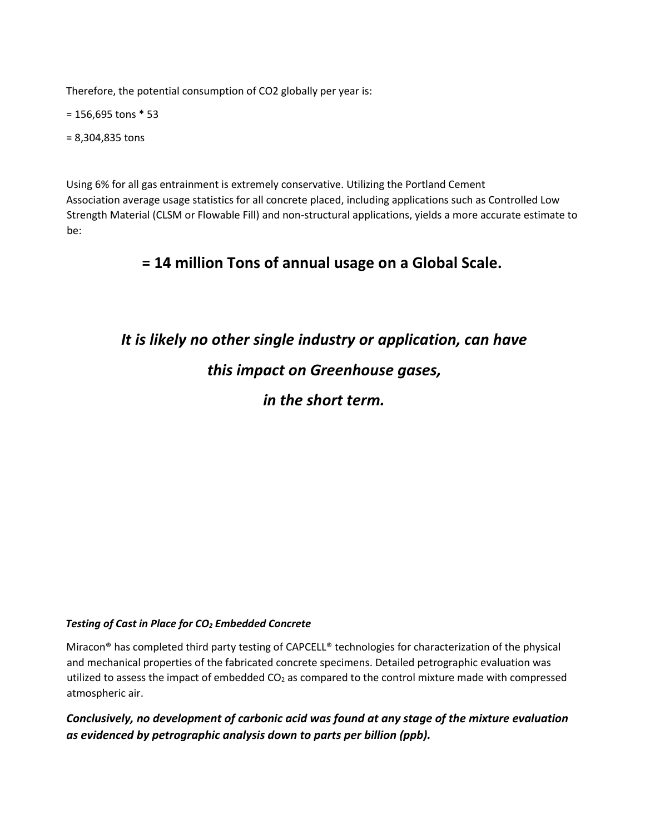Therefore, the potential consumption of CO2 globally per year is:

= 156,695 tons \* 53

= 8,304,835 tons

Using 6% for all gas entrainment is extremely conservative. Utilizing the Portland Cement Association average usage statistics for all concrete placed, including applications such as Controlled Low Strength Material (CLSM or Flowable Fill) and non-structural applications, yields a more accurate estimate to be:

# **= 14 million Tons of annual usage on a Global Scale.**

# *It is likely no other single industry or application, can have this impact on Greenhouse gases, in the short term.*

# *Testing of Cast in Place for CO<sup>2</sup> Embedded Concrete*

Miracon® has completed third party testing of CAPCELL® technologies for characterization of the physical and mechanical properties of the fabricated concrete specimens. Detailed petrographic evaluation was utilized to assess the impact of embedded CO<sub>2</sub> as compared to the control mixture made with compressed atmospheric air.

*Conclusively, no development of carbonic acid was found at any stage of the mixture evaluation as evidenced by petrographic analysis down to parts per billion (ppb).*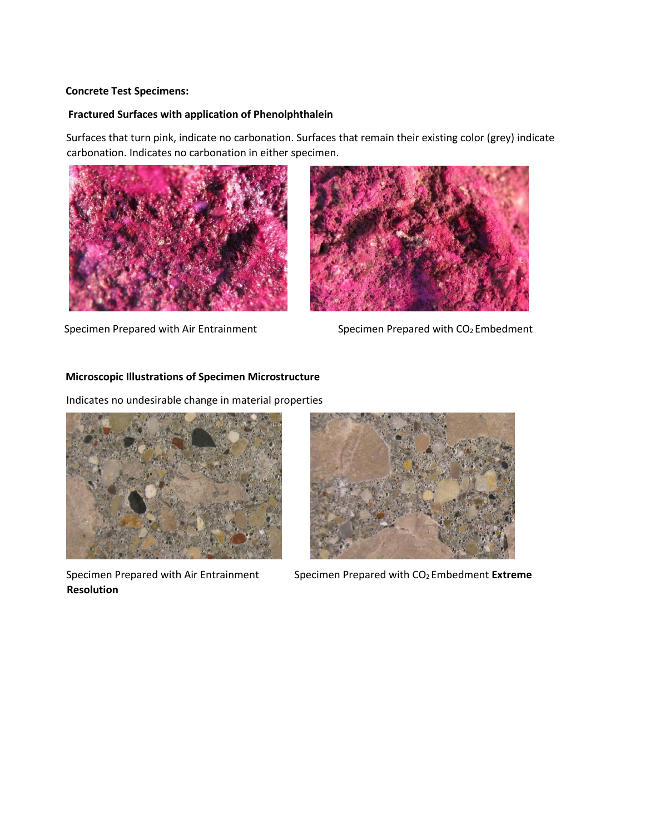#### **Concrete Test Specimens:**

# **Fractured Surfaces with application of Phenolphthalein**

Surfaces that turn pink, indicate no carbonation. Surfaces that remain their existing color (grey) indicate carbonation. Indicates no carbonation in either specimen.





Specimen Prepared with Air Entrainment Specimen Prepared with CO<sub>2</sub> Embedment

# **Microscopic Illustrations of Specimen Microstructure**

Indicates no undesirable change in material properties



**Resolution** 



Specimen Prepared with Air Entrainment Specimen Prepared with CO<sub>2</sub> Embedment Extreme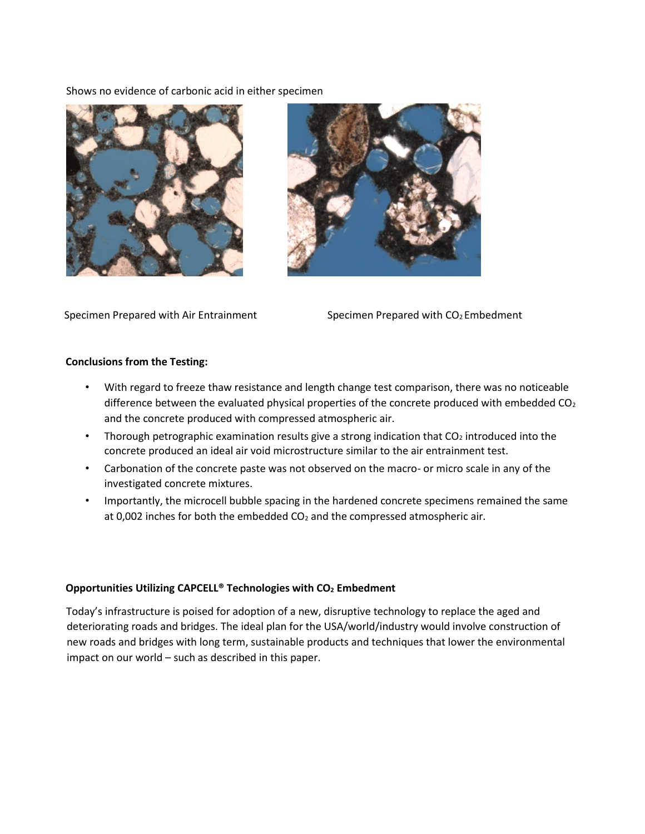Shows no evidence of carbonic acid in either specimen





Specimen Prepared with Air Entrainment Specimen Prepared with CO<sub>2</sub> Embedment

# **Conclusions from the Testing:**

- With regard to freeze thaw resistance and length change test comparison, there was no noticeable difference between the evaluated physical properties of the concrete produced with embedded  $CO<sub>2</sub>$ and the concrete produced with compressed atmospheric air.
- Thorough petrographic examination results give a strong indication that  $CO<sub>2</sub>$  introduced into the concrete produced an ideal air void microstructure similar to the air entrainment test.
- Carbonation of the concrete paste was not observed on the macro- or micro scale in any of the investigated concrete mixtures.
- Importantly, the microcell bubble spacing in the hardened concrete specimens remained the same at 0,002 inches for both the embedded  $CO<sub>2</sub>$  and the compressed atmospheric air.

# **Opportunities Utilizing CAPCELL® Technologies with CO<sup>2</sup> Embedment**

Today's infrastructure is poised for adoption of a new, disruptive technology to replace the aged and deteriorating roads and bridges. The ideal plan for the USA/world/industry would involve construction of new roads and bridges with long term, sustainable products and techniques that lower the environmental impact on our world – such as described in this paper.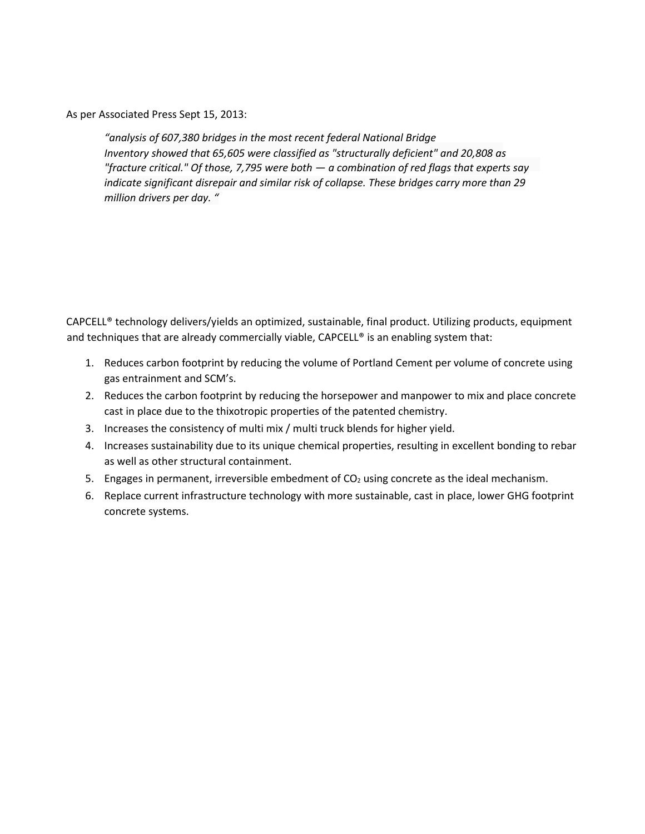As per Associated Press Sept 15, 2013:

*"analysis of 607,380 bridges in the most recent federal National Bridge Inventory showed that 65,605 were classified as "structurally deficient" and 20,808 as "fracture critical." Of those, 7,795 were both — a combination of red flags that experts say indicate significant disrepair and similar risk of collapse. These bridges carry more than 29 million drivers per day. "*

CAPCELL® technology delivers/yields an optimized, sustainable, final product. Utilizing products, equipment and techniques that are already commercially viable, CAPCELL® is an enabling system that:

- 1. Reduces carbon footprint by reducing the volume of Portland Cement per volume of concrete using gas entrainment and SCM's.
- 2. Reduces the carbon footprint by reducing the horsepower and manpower to mix and place concrete cast in place due to the thixotropic properties of the patented chemistry.
- 3. Increases the consistency of multi mix / multi truck blends for higher yield.
- 4. Increases sustainability due to its unique chemical properties, resulting in excellent bonding to rebar as well as other structural containment.
- 5. Engages in permanent, irreversible embedment of  $CO<sub>2</sub>$  using concrete as the ideal mechanism.
- 6. Replace current infrastructure technology with more sustainable, cast in place, lower GHG footprint concrete systems.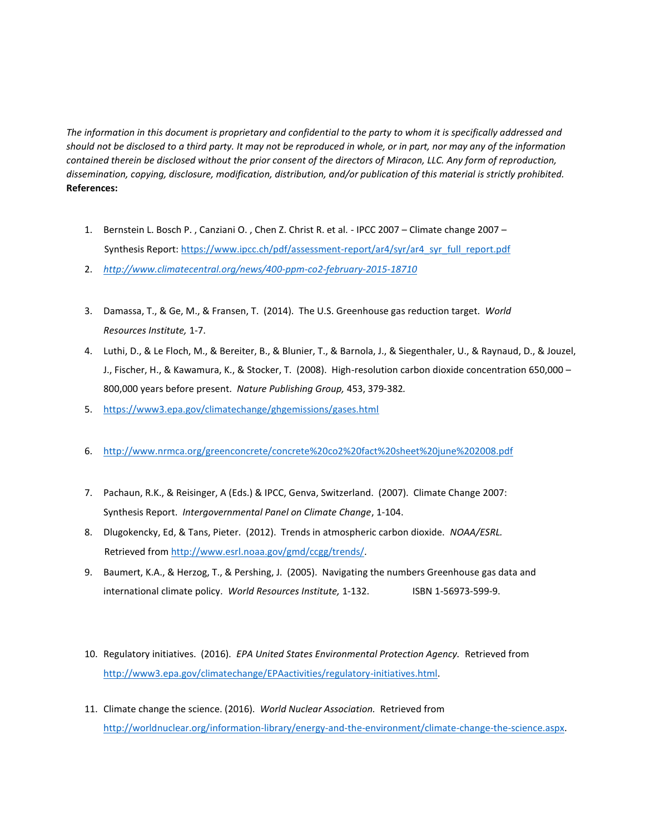*The information in this document is proprietary and confidential to the party to whom it is specifically addressed and should not be disclosed to a third party. It may not be reproduced in whole, or in part, nor may any of the information contained therein be disclosed without the prior consent of the directors of Miracon, LLC. Any form of reproduction, dissemination, copying, disclosure, modification, distribution, and/or publication of this material is strictly prohibited.*  **References:** 

- 1. Bernstein L. Bosch P. , Canziani O. , Chen Z. Christ R. et al. IPCC 2007 Climate change 2007 Synthesis Report: [https://www.ipcc.ch/pdf/assessment-report/ar4/syr/ar4\\_syr\\_full\\_report.pdf](https://www.ipcc.ch/pdf/assessment-report/ar4/syr/ar4_syr_full_report.pdf)
- 2. *<http://www.climatecentral.org/news/400-ppm-co2-february-2015-18710>*
- 3. Damassa, T., & Ge, M., & Fransen, T. (2014). The U.S. Greenhouse gas reduction target. *World Resources Institute,* 1-7.
- 4. Luthi, D., & Le Floch, M., & Bereiter, B., & Blunier, T., & Barnola, J., & Siegenthaler, U., & Raynaud, D., & Jouzel, J., Fischer, H., & Kawamura, K., & Stocker, T. (2008). High-resolution carbon dioxide concentration 650,000 – 800,000 years before present. *Nature Publishing Group,* 453, 379-382*.*
- 5. <https://www3.epa.gov/climatechange/ghgemissions/gases.html>
- 6. <http://www.nrmca.org/greenconcrete/concrete%20co2%20fact%20sheet%20june%202008.pdf>
- 7. Pachaun, R.K., & Reisinger, A (Eds.) & IPCC, Genva, Switzerland. (2007). Climate Change 2007: Synthesis Report. *Intergovernmental Panel on Climate Change*, 1-104.
- 8. Dlugokencky, Ed, & Tans, Pieter. (2012). Trends in atmospheric carbon dioxide. *NOAA/ESRL.*  Retrieved fr[om http://www.esrl.noaa.gov/gmd/ccgg/trends/.](http://www.esrl.noaa.gov/gmd/ccgg/trends/)
- 9. Baumert, K.A., & Herzog, T., & Pershing, J. (2005). Navigating the numbers Greenhouse gas data and international climate policy. *World Resources Institute,* 1-132. ISBN 1-56973-599-9.
- 10. Regulatory initiatives. (2016). *EPA United States Environmental Protection Agency.* Retrieved from [http://www3.epa.gov/climatechange/EPAactivities/regulatory-initiatives.html.](http://www3.epa.gov/climatechange/EPAactivities/regulatory-initiatives.html)
- 11. Climate change the science. (2016). *World Nuclear Association.* Retrieved fr[om](http://world-nuclear.org/information-library/energy-and-the-environment/climate-change-the-science.aspx)  [http://worldnuclear.org/information-library/energy-and-the-environment/climate-change-the-science.aspx.](http://world-nuclear.org/information-library/energy-and-the-environment/climate-change-the-science.aspx)